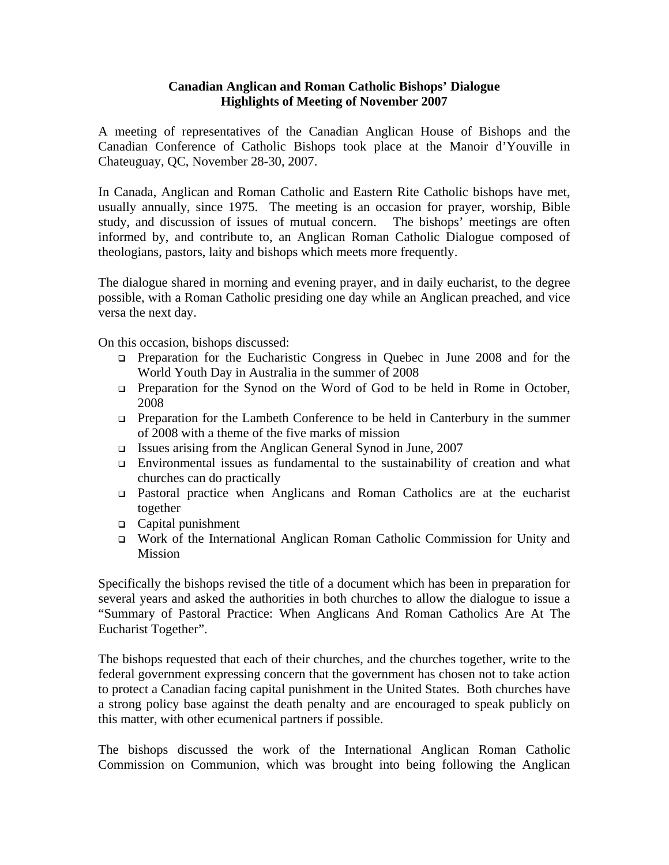## **Canadian Anglican and Roman Catholic Bishops' Dialogue Highlights of Meeting of November 2007**

A meeting of representatives of the Canadian Anglican House of Bishops and the Canadian Conference of Catholic Bishops took place at the Manoir d'Youville in Chateuguay, QC, November 28-30, 2007.

In Canada, Anglican and Roman Catholic and Eastern Rite Catholic bishops have met, usually annually, since 1975. The meeting is an occasion for prayer, worship, Bible study, and discussion of issues of mutual concern. The bishops' meetings are often informed by, and contribute to, an Anglican Roman Catholic Dialogue composed of theologians, pastors, laity and bishops which meets more frequently.

The dialogue shared in morning and evening prayer, and in daily eucharist, to the degree possible, with a Roman Catholic presiding one day while an Anglican preached, and vice versa the next day.

On this occasion, bishops discussed:

- Preparation for the Eucharistic Congress in Quebec in June 2008 and for the World Youth Day in Australia in the summer of 2008
- Preparation for the Synod on the Word of God to be held in Rome in October, 2008
- Preparation for the Lambeth Conference to be held in Canterbury in the summer of 2008 with a theme of the five marks of mission
- Issues arising from the Anglican General Synod in June, 2007
- Environmental issues as fundamental to the sustainability of creation and what churches can do practically
- Pastoral practice when Anglicans and Roman Catholics are at the eucharist together
- Capital punishment
- □ Work of the International Anglican Roman Catholic Commission for Unity and Mission

Specifically the bishops revised the title of a document which has been in preparation for several years and asked the authorities in both churches to allow the dialogue to issue a "Summary of Pastoral Practice: When Anglicans And Roman Catholics Are At The Eucharist Together".

The bishops requested that each of their churches, and the churches together, write to the federal government expressing concern that the government has chosen not to take action to protect a Canadian facing capital punishment in the United States. Both churches have a strong policy base against the death penalty and are encouraged to speak publicly on this matter, with other ecumenical partners if possible.

The bishops discussed the work of the International Anglican Roman Catholic Commission on Communion, which was brought into being following the Anglican